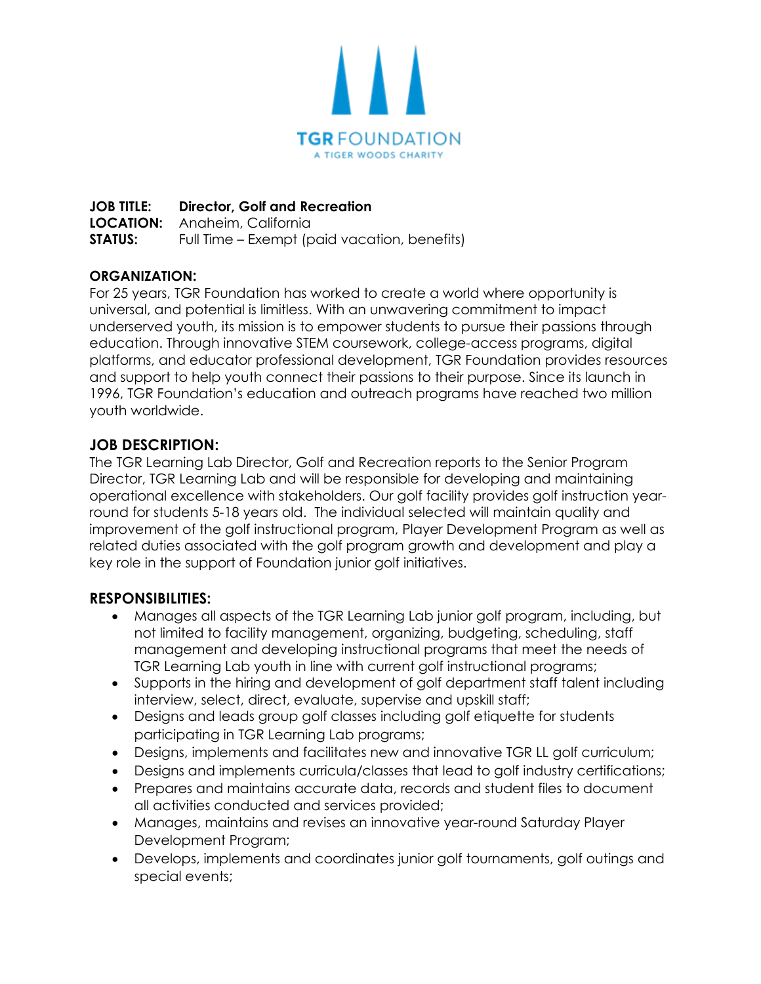

**JOB TITLE: Director, Golf and Recreation LOCATION:** Anaheim, California **STATUS:** Full Time – Exempt (paid vacation, benefits)

## **ORGANIZATION:**

For 25 years, TGR Foundation has worked to create a world where opportunity is universal, and potential is limitless. With an unwavering commitment to impact underserved youth, its mission is to empower students to pursue their passions through education. Through innovative STEM coursework, college-access programs, digital platforms, and educator professional development, TGR Foundation provides resources and support to help youth connect their passions to their purpose. Since its launch in 1996, TGR Foundation's education and outreach programs have reached two million youth worldwide.

## **JOB DESCRIPTION:**

The TGR Learning Lab Director, Golf and Recreation reports to the Senior Program Director, TGR Learning Lab and will be responsible for developing and maintaining operational excellence with stakeholders. Our golf facility provides golf instruction yearround for students 5-18 years old. The individual selected will maintain quality and improvement of the golf instructional program, Player Development Program as well as related duties associated with the golf program growth and development and play a key role in the support of Foundation junior golf initiatives.

#### **RESPONSIBILITIES:**

- Manages all aspects of the TGR Learning Lab junior golf program, including, but not limited to facility management, organizing, budgeting, scheduling, staff management and developing instructional programs that meet the needs of TGR Learning Lab youth in line with current golf instructional programs;
- Supports in the hiring and development of golf department staff talent including interview, select, direct, evaluate, supervise and upskill staff;
- Designs and leads group golf classes including golf etiquette for students participating in TGR Learning Lab programs;
- Designs, implements and facilitates new and innovative TGR LL golf curriculum;
- Designs and implements curricula/classes that lead to golf industry certifications;
- Prepares and maintains accurate data, records and student files to document all activities conducted and services provided;
- Manages, maintains and revises an innovative year-round Saturday Player Development Program;
- Develops, implements and coordinates junior golf tournaments, golf outings and special events;